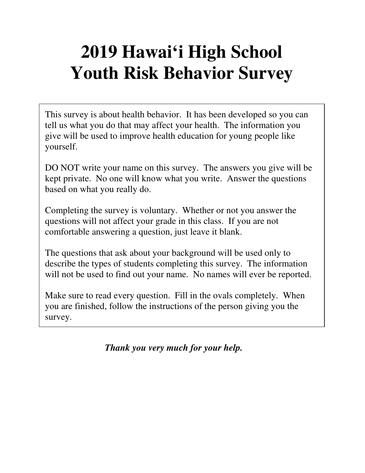# **2019 Hawai'i High School Youth Risk Behavior Survey**

This survey is about health behavior. It has been developed so you can tell us what you do that may affect your health. The information you give will be used to improve health education for young people like yourself.

DO NOT write your name on this survey. The answers you give will be kept private. No one will know what you write. Answer the questions based on what you really do.

Completing the survey is voluntary. Whether or not you answer the questions will not affect your grade in this class. If you are not comfortable answering a question, just leave it blank.

The questions that ask about your background will be used only to describe the types of students completing this survey. The information will not be used to find out your name. No names will ever be reported.

Make sure to read every question. Fill in the ovals completely. When you are finished, follow the instructions of the person giving you the survey.

*Thank you very much for your help.*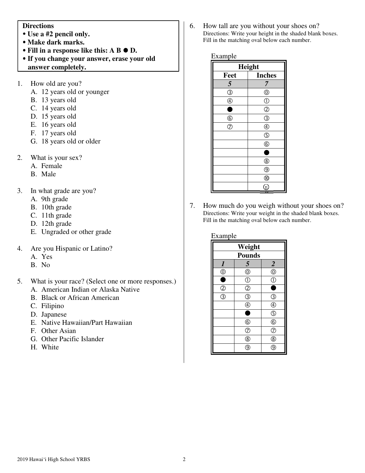#### **Directions**

- **Use a #2 pencil only.**
- **Make dark marks.**
- **Fill in a response like this: A B D.**
- **If you change your answer, erase your old answer completely.**
- 1. How old are you?
	- A. 12 years old or younger
	- B. 13 years old
	- C. 14 years old
	- D. 15 years old
	- E. 16 years old
	- F. 17 years old
	- G. 18 years old or older
- 2. What is your sex?
	- A. Female
	- B. Male
- 3. In what grade are you?
	- A. 9th grade
	- B. 10th grade
	- C. 11th grade
	- D. 12th grade
	- E. Ungraded or other grade
- 4. Are you Hispanic or Latino?
	- A. Yes
	- B. No
- 5. What is your race? (Select one or more responses.)
	- A. American Indian or Alaska Native
	- B. Black or African American
	- C. Filipino
	- D. Japanese
	- E. Native Hawaiian/Part Hawaiian
	- F. Other Asian
	- G. Other Pacific Islander
	- H. White

6. How tall are you without your shoes on? Directions: Write your height in the shaded blank boxes. Fill in the matching oval below each number.

#### Example

| Height             |                     |  |
|--------------------|---------------------|--|
| Feet               | <b>Inches</b>       |  |
| 5                  | 7                   |  |
| $\circledS$        | $^{\circledR}$      |  |
| $\circledA$        | $\circled{0}$       |  |
| ٠                  | $\overline{O}$      |  |
| $\circled6$        | $\circledS$         |  |
| $\overline{\circ}$ | $\overline{\oplus}$ |  |
|                    | $\circledS$         |  |
|                    | $^{\circledR}$      |  |
|                    | s                   |  |
|                    | $^{\circledR}$      |  |
|                    | $^{\circledR}$      |  |
|                    | $^{\circledR}$      |  |
|                    | Gi                  |  |

7. How much do you weigh without your shoes on? Directions: Write your weight in the shaded blank boxes. Fill in the matching oval below each number.

| Example                                   |                                 |                               |  |
|-------------------------------------------|---------------------------------|-------------------------------|--|
| Weight                                    |                                 |                               |  |
| <b>Pounds</b>                             |                                 |                               |  |
| $\boldsymbol{l}$                          | 5                               | $\overline{2}$                |  |
| $^{\circledR}$                            | $^{\circledR}$                  | $^{\circledR}$                |  |
| $\bullet$                                 | $\overline{\textcircled{1}}$    | $\overline{\mathbb{C}}$       |  |
| $\frac{\textcircled{2}}{\textcircled{3}}$ | $\overline{O}$                  |                               |  |
|                                           | ③                               | $\circledS$                   |  |
|                                           | $\bar{\textcircled{\small{4}}}$ | $\overline{\oplus}$           |  |
|                                           |                                 | $\overline{\bigodot}$         |  |
|                                           | $^\copyright$                   | $^{\circledR}$                |  |
|                                           | $\bar{\odot}$                   | $\bar{\textcircled{\tiny 2}}$ |  |
|                                           | $\overline{\circledast}$        | $\overline{\circledS}$        |  |
|                                           | g                               | g                             |  |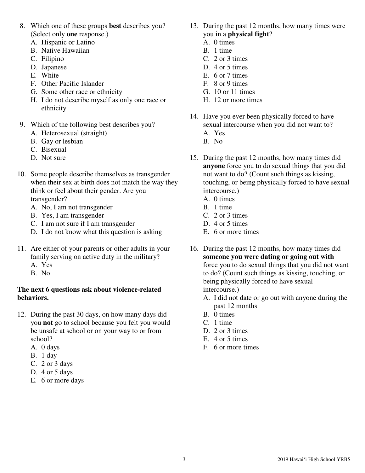- 8. Which one of these groups **best** describes you? (Select only **one** response.)
	- A. Hispanic or Latino
	- B. Native Hawaiian
	- C. Filipino
	- D. Japanese
	- E. White
	- F. Other Pacific Islander
	- G. Some other race or ethnicity
	- H. I do not describe myself as only one race or ethnicity
- 9. Which of the following best describes you?
	- A. Heterosexual (straight)
	- B. Gay or lesbian
	- C. Bisexual
	- D. Not sure
- 10. Some people describe themselves as transgender when their sex at birth does not match the way they think or feel about their gender. Are you transgender?
	- A. No, I am not transgender
	- B. Yes, I am transgender
	- C. I am not sure if I am transgender
	- D. I do not know what this question is asking
- 11. Are either of your parents or other adults in your family serving on active duty in the military?
	- A. Yes
	- B. No

#### **The next 6 questions ask about violence-related behaviors.**

- 12. During the past 30 days, on how many days did you **not** go to school because you felt you would be unsafe at school or on your way to or from school?
	- A. 0 days
	- B. 1 day
	- C. 2 or 3 days
	- D. 4 or 5 days
	- E. 6 or more days
- 13. During the past 12 months, how many times were you in a **physical fight**?
	- A. 0 times
	- B. 1 time
	- C. 2 or 3 times
	- D. 4 or 5 times
	- E. 6 or 7 times
	- F. 8 or 9 times
	- G. 10 or 11 times
	- H. 12 or more times
- 14. Have you ever been physically forced to have sexual intercourse when you did not want to? A. Yes
	- B. No
- 15. During the past 12 months, how many times did **anyone** force you to do sexual things that you did not want to do? (Count such things as kissing, touching, or being physically forced to have sexual intercourse.)
	- A. 0 times
	- B. 1 time
	- C. 2 or 3 times
	- D. 4 or 5 times
	- E. 6 or more times
- 16. During the past 12 months, how many times did **someone you were dating or going out with** force you to do sexual things that you did not want to do? (Count such things as kissing, touching, or being physically forced to have sexual intercourse.)
	- A. I did not date or go out with anyone during the past 12 months
	- B. 0 times
	- C. 1 time
	- D. 2 or 3 times
	- E. 4 or 5 times
	- F. 6 or more times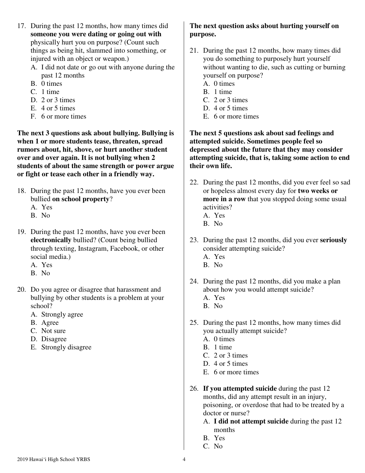- 17. During the past 12 months, how many times did **someone you were dating or going out with** physically hurt you on purpose? (Count such things as being hit, slammed into something, or injured with an object or weapon.)
	- A. I did not date or go out with anyone during the past 12 months
	- B. 0 times
	- C. 1 time
	- D. 2 or 3 times
	- E. 4 or 5 times
	- F. 6 or more times

**The next 3 questions ask about bullying. Bullying is when 1 or more students tease, threaten, spread rumors about, hit, shove, or hurt another student over and over again. It is not bullying when 2 students of about the same strength or power argue or fight or tease each other in a friendly way.** 

- 18. During the past 12 months, have you ever been bullied **on school property**?
	- A. Yes
	- B. No
- 19. During the past 12 months, have you ever been **electronically** bullied? (Count being bullied through texting, Instagram, Facebook, or other social media.)
	- A. Yes
	- B. No
- 20. Do you agree or disagree that harassment and bullying by other students is a problem at your school?
	- A. Strongly agree
	- B. Agree
	- C. Not sure
	- D. Disagree
	- E. Strongly disagree

## **The next question asks about hurting yourself on purpose.**

- 21. During the past 12 months, how many times did you do something to purposely hurt yourself without wanting to die, such as cutting or burning yourself on purpose?
	- A. 0 times
	- B. 1 time
	- C. 2 or 3 times
	- D. 4 or 5 times
	- E. 6 or more times

#### **The next 5 questions ask about sad feelings and attempted suicide. Sometimes people feel so depressed about the future that they may consider attempting suicide, that is, taking some action to end their own life.**

- 22. During the past 12 months, did you ever feel so sad or hopeless almost every day for **two weeks or more in a row** that you stopped doing some usual activities?
	- A. Yes
	- B. No
- 23. During the past 12 months, did you ever **seriously** consider attempting suicide?
	- A. Yes
	- B. No
- 24. During the past 12 months, did you make a plan about how you would attempt suicide? A. Yes
	-
	- B. No
- 25. During the past 12 months, how many times did you actually attempt suicide?
	- A. 0 times
	- B. 1 time
	- C. 2 or 3 times
	- D. 4 or 5 times
	- E. 6 or more times
- 26. **If you attempted suicide** during the past 12 months, did any attempt result in an injury, poisoning, or overdose that had to be treated by a doctor or nurse?
	- A. **I did not attempt suicide** during the past 12 months
	- B. Yes
	- C. No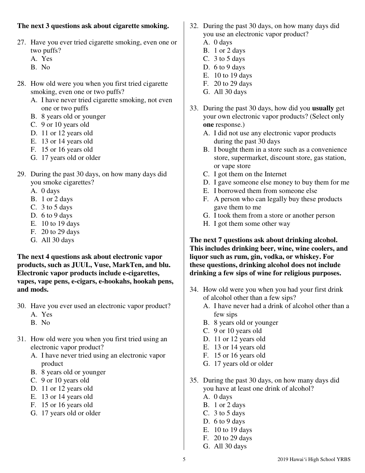#### **The next 3 questions ask about cigarette smoking.**

- 27. Have you ever tried cigarette smoking, even one or two puffs?
	- A. Yes
	- B. No
- 28. How old were you when you first tried cigarette smoking, even one or two puffs?
	- A. I have never tried cigarette smoking, not even one or two puffs
	- B. 8 years old or younger
	- C. 9 or 10 years old
	- D. 11 or 12 years old
	- E. 13 or 14 years old
	- F. 15 or 16 years old
	- G. 17 years old or older
- 29. During the past 30 days, on how many days did you smoke cigarettes?
	- A. 0 days
	- B. 1 or 2 days
	- C. 3 to 5 days
	- D. 6 to 9 days
	- E. 10 to 19 days
	- F. 20 to 29 days
	- G. All 30 days

**The next 4 questions ask about electronic vapor products, such as JUUL, Vuse, MarkTen, and blu. Electronic vapor products include e-cigarettes, vapes, vape pens, e-cigars, e-hookahs, hookah pens, and mods.** 

- 30. Have you ever used an electronic vapor product? A. Yes
	- B. No
- 31. How old were you when you first tried using an electronic vapor product?
	- A. I have never tried using an electronic vapor product
	- B. 8 years old or younger
	- C. 9 or 10 years old
	- D. 11 or 12 years old
	- E. 13 or 14 years old
	- F. 15 or 16 years old
	- G. 17 years old or older
- 32. During the past 30 days, on how many days did you use an electronic vapor product?
	- A. 0 days
	- B. 1 or 2 days
	- C. 3 to 5 days
	- D. 6 to 9 days
	- E. 10 to 19 days
	- F. 20 to 29 days
	- G. All 30 days
- 33. During the past 30 days, how did you **usually** get your own electronic vapor products? (Select only **one** response.)
	- A. I did not use any electronic vapor products during the past 30 days
	- B. I bought them in a store such as a convenience store, supermarket, discount store, gas station, or vape store
	- C. I got them on the Internet
	- D. I gave someone else money to buy them for me
	- E. I borrowed them from someone else
	- F. A person who can legally buy these products gave them to me
	- G. I took them from a store or another person
	- H. I got them some other way

#### **The next 7 questions ask about drinking alcohol. This includes drinking beer, wine, wine coolers, and liquor such as rum, gin, vodka, or whiskey. For these questions, drinking alcohol does not include drinking a few sips of wine for religious purposes.**

- 34. How old were you when you had your first drink of alcohol other than a few sips?
	- A. I have never had a drink of alcohol other than a few sips
	- B. 8 years old or younger
	- C. 9 or 10 years old
	- D. 11 or 12 years old
	- E. 13 or 14 years old
	- F. 15 or 16 years old
	- G. 17 years old or older
- 35. During the past 30 days, on how many days did you have at least one drink of alcohol?
	- A. 0 days
	- B. 1 or 2 days
	- C. 3 to 5 days
	- D. 6 to 9 days
	- E. 10 to 19 days
	- F. 20 to 29 days
	- G. All 30 days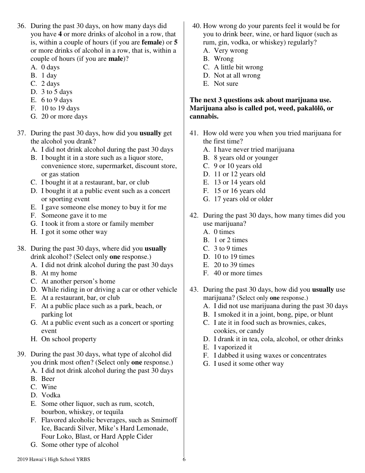- 36. During the past 30 days, on how many days did you have **4** or more drinks of alcohol in a row, that is, within a couple of hours (if you are **female**) or **5** or more drinks of alcohol in a row, that is, within a couple of hours (if you are **male**)?
	- A. 0 days
	- B. 1 day
	- C. 2 days
	- D. 3 to 5 days
	- E. 6 to 9 days
	- F. 10 to 19 days
	- G. 20 or more days
- 37. During the past 30 days, how did you **usually** get the alcohol you drank?
	- A. I did not drink alcohol during the past 30 days
	- B. I bought it in a store such as a liquor store, convenience store, supermarket, discount store, or gas station
	- C. I bought it at a restaurant, bar, or club
	- D. I bought it at a public event such as a concert or sporting event
	- E. I gave someone else money to buy it for me
	- F. Someone gave it to me
	- G. I took it from a store or family member
	- H. I got it some other way
- 38. During the past 30 days, where did you **usually** drink alcohol? (Select only **one** response.)
	- A. I did not drink alcohol during the past 30 days
	- B. At my home
	- C. At another person's home
	- D. While riding in or driving a car or other vehicle
	- E. At a restaurant, bar, or club
	- F. At a public place such as a park, beach, or parking lot
	- G. At a public event such as a concert or sporting event
	- H. On school property
- 39. During the past 30 days, what type of alcohol did you drink most often? (Select only **one** response.) A. I did not drink alcohol during the past 30 days
	- B. Beer
	- C. Wine
	- D. Vodka
	- E. Some other liquor, such as rum, scotch, bourbon, whiskey, or tequila
	- F. Flavored alcoholic beverages, such as Smirnoff Ice, Bacardi Silver, Mike's Hard Lemonade, Four Loko, Blast, or Hard Apple Cider
	- G. Some other type of alcohol
- 40. How wrong do your parents feel it would be for you to drink beer, wine, or hard liquor (such as rum, gin, vodka, or whiskey) regularly?
	- A. Very wrong
	- B. Wrong
	- C. A little bit wrong
	- D. Not at all wrong
	- E. Not sure

## **The next 3 questions ask about marijuana use. Marijuana also is called pot, weed, pakal**ō**l**ō**, or cannabis.**

- 41. How old were you when you tried marijuana for the first time?
	- A. I have never tried marijuana
	- B. 8 years old or younger
	- C. 9 or 10 years old
	- D. 11 or 12 years old
	- E. 13 or 14 years old
	- F. 15 or 16 years old
	- G. 17 years old or older
- 42. During the past 30 days, how many times did you use marijuana?
	- A. 0 times
	- B. 1 or 2 times
	- C. 3 to 9 times
	- D. 10 to 19 times
	- E. 20 to 39 times
	- F. 40 or more times
- 43. During the past 30 days, how did you **usually** use marijuana? (Select only **one** response.)
	- A. I did not use marijuana during the past 30 days
	- B. I smoked it in a joint, bong, pipe, or blunt
	- C. I ate it in food such as brownies, cakes, cookies, or candy
	- D. I drank it in tea, cola, alcohol, or other drinks
	- E. I vaporized it
	- F. I dabbed it using waxes or concentrates
	- G. I used it some other way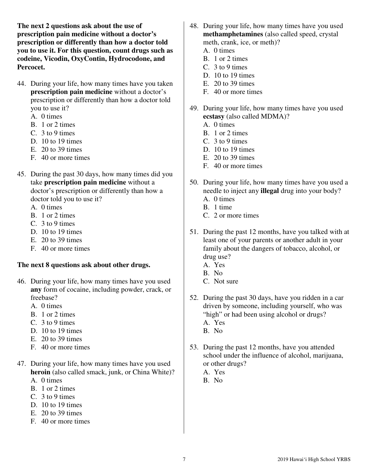**The next 2 questions ask about the use of prescription pain medicine without a doctor's prescription or differently than how a doctor told you to use it. For this question, count drugs such as codeine, Vicodin, OxyContin, Hydrocodone, and Percocet.** 

- 44. During your life, how many times have you taken **prescription pain medicine** without a doctor's prescription or differently than how a doctor told you to use it?
	- A. 0 times
	- B. 1 or 2 times
	- C. 3 to 9 times
	- D. 10 to 19 times
	- E. 20 to 39 times
	- F. 40 or more times
- 45. During the past 30 days, how many times did you take **prescription pain medicine** without a doctor's prescription or differently than how a doctor told you to use it?
	- A. 0 times
	- B. 1 or 2 times
	- C. 3 to 9 times
	- D. 10 to 19 times
	- E. 20 to 39 times
	- F. 40 or more times

#### **The next 8 questions ask about other drugs.**

- 46. During your life, how many times have you used **any** form of cocaine, including powder, crack, or freebase?
	- A. 0 times
	- B. 1 or 2 times
	- C. 3 to 9 times
	- D. 10 to 19 times
	- E. 20 to 39 times
	- F. 40 or more times
- 47. During your life, how many times have you used **heroin** (also called smack, junk, or China White)? A. 0 times
	- B. 1 or 2 times
	- C. 3 to 9 times
	- D. 10 to 19 times
	- E. 20 to 39 times
	- F. 40 or more times
- 48. During your life, how many times have you used **methamphetamines** (also called speed, crystal meth, crank, ice, or meth)?
	- A. 0 times
	- B. 1 or 2 times
	- C. 3 to 9 times
	- D. 10 to 19 times
	- E. 20 to 39 times
	- F. 40 or more times
- 49. During your life, how many times have you used **ecstasy** (also called MDMA)?
	- A. 0 times
	- B. 1 or 2 times
	- C. 3 to 9 times
	- D. 10 to 19 times
	- E. 20 to 39 times
	- F. 40 or more times
- 50. During your life, how many times have you used a needle to inject any **illegal** drug into your body?
	- A. 0 times
	- B. 1 time
	- C. 2 or more times
- 51. During the past 12 months, have you talked with at least one of your parents or another adult in your family about the dangers of tobacco, alcohol, or drug use?
	- A. Yes
	- B. No
	- C. Not sure
- 52. During the past 30 days, have you ridden in a car driven by someone, including yourself, who was "high" or had been using alcohol or drugs? A. Yes
	- B. No
- 53. During the past 12 months, have you attended school under the influence of alcohol, marijuana, or other drugs?
	- A. Yes
	- B. No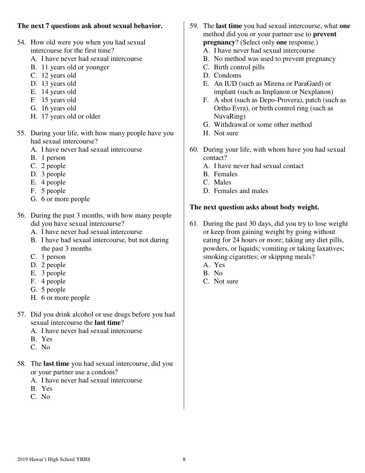### **The next 7 questions ask about sexual behavior.**

- 54. How old were you when you had sexual intercourse for the first time?
	- A. I have never had sexual intercourse
	- B. 11 years old or younger
	- C. 12 years old
	- D. 13 years old
	- E. 14 years old
	- F. 15 years old
	- G. 16 years old
	- H. 17 years old or older
- 55. During your life, with how many people have you had sexual intercourse?
	- A. I have never had sexual intercourse
	- B. 1 person
	- C. 2 people
	- D. 3 people
	- E. 4 people
	- F. 5 people
	- G. 6 or more people
- 56. During the past 3 months, with how many people did you have sexual intercourse?
	- A. I have never had sexual intercourse
	- B. I have had sexual intercourse, but not during the past 3 months
	- C. 1 person
	- D. 2 people
	- E. 3 people
	- F. 4 people
	- G. 5 people
	- H. 6 or more people
- 57. Did you drink alcohol or use drugs before you had sexual intercourse the **last time**?
	- A. I have never had sexual intercourse
	- B. Yes
	- C. No
- 58. The **last time** you had sexual intercourse, did you or your partner use a condom?
	- A. I have never had sexual intercourse
	- B. Yes
	- C. No
- 59. The **last time** you had sexual intercourse, what **one** method did you or your partner use to **prevent pregnancy**? (Select only **one** response.)
	- A. I have never had sexual intercourse
	- B. No method was used to prevent pregnancy
	- C. Birth control pills
	- D. Condoms
	- E. An IUD (such as Mirena or ParaGard) or implant (such as Implanon or Nexplanon)
	- F. A shot (such as Depo-Provera), patch (such as Ortho Evra), or birth control ring (such as NuvaRing)
	- G. Withdrawal or some other method
	- H. Not sure
- 60. During your life, with whom have you had sexual contact?
	- A. I have never had sexual contact
	- B. Females
	- C. Males
	- D. Females and males

### **The next question asks about body weight.**

- 61. During the past 30 days, did you try to lose weight or keep from gaining weight by going without eating for 24 hours or more; taking any diet pills, powders, or liquids; vomiting or taking laxatives; smoking cigarettes; or skipping meals?
	- A. Yes
	- B. No
	- C. Not sure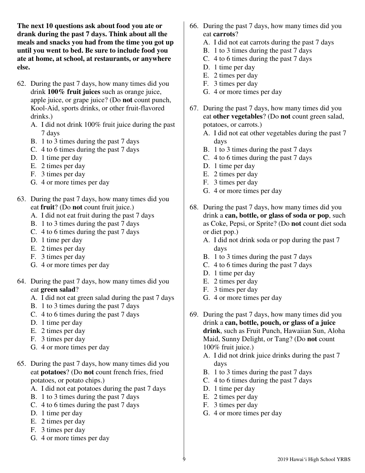**The next 10 questions ask about food you ate or drank during the past 7 days. Think about all the meals and snacks you had from the time you got up until you went to bed. Be sure to include food you ate at home, at school, at restaurants, or anywhere else.** 

- 62. During the past 7 days, how many times did you drink **100% fruit juices** such as orange juice, apple juice, or grape juice? (Do **not** count punch, Kool-Aid, sports drinks, or other fruit-flavored drinks.)
	- A. I did not drink 100% fruit juice during the past 7 days
	- B. 1 to 3 times during the past 7 days
	- C. 4 to 6 times during the past 7 days
	- D. 1 time per day
	- E. 2 times per day
	- F. 3 times per day
	- G. 4 or more times per day
- 63. During the past 7 days, how many times did you eat **fruit**? (Do **not** count fruit juice.)
	- A. I did not eat fruit during the past 7 days
	- B. 1 to 3 times during the past 7 days
	- C. 4 to 6 times during the past 7 days
	- D. 1 time per day
	- E. 2 times per day
	- F. 3 times per day
	- G. 4 or more times per day
- 64. During the past 7 days, how many times did you eat **green salad**?
	- A. I did not eat green salad during the past 7 days
	- B. 1 to 3 times during the past 7 days
	- C. 4 to 6 times during the past 7 days
	- D. 1 time per day
	- E. 2 times per day
	- F. 3 times per day
	- G. 4 or more times per day
- 65. During the past 7 days, how many times did you eat **potatoes**? (Do **not** count french fries, fried potatoes, or potato chips.)
	- A. I did not eat potatoes during the past 7 days
	- B. 1 to 3 times during the past 7 days
	- C. 4 to 6 times during the past 7 days
	- D. 1 time per day
	- E. 2 times per day
	- F. 3 times per day
	- G. 4 or more times per day
- 66. During the past 7 days, how many times did you eat **carrots**?
	- A. I did not eat carrots during the past 7 days
	- B. 1 to 3 times during the past 7 days
	- C. 4 to 6 times during the past 7 days
	- D. 1 time per day
	- E. 2 times per day
	- F. 3 times per day
	- G. 4 or more times per day
- 67. During the past 7 days, how many times did you eat **other vegetables**? (Do **not** count green salad, potatoes, or carrots.)
	- A. I did not eat other vegetables during the past 7 days
	- B. 1 to 3 times during the past 7 days
	- C. 4 to 6 times during the past 7 days
	- D. 1 time per day
	- E. 2 times per day
	- F. 3 times per day
	- G. 4 or more times per day
- 68. During the past 7 days, how many times did you drink a **can, bottle, or glass of soda or pop**, such as Coke, Pepsi, or Sprite? (Do **not** count diet soda or diet pop.)
	- A. I did not drink soda or pop during the past 7 days
	- B. 1 to 3 times during the past 7 days
	- C. 4 to 6 times during the past 7 days
	- D. 1 time per day
	- E. 2 times per day
	- F. 3 times per day
	- G. 4 or more times per day
- 69. During the past 7 days, how many times did you drink a **can, bottle, pouch, or glass of a juice drink**, such as Fruit Punch, Hawaiian Sun, Aloha Maid, Sunny Delight, or Tang? (Do **not** count 100% fruit juice.)
	- A. I did not drink juice drinks during the past 7 days
	- B. 1 to 3 times during the past 7 days
	- C. 4 to 6 times during the past 7 days
	- D. 1 time per day
	- E. 2 times per day
	- F. 3 times per day
	- G. 4 or more times per day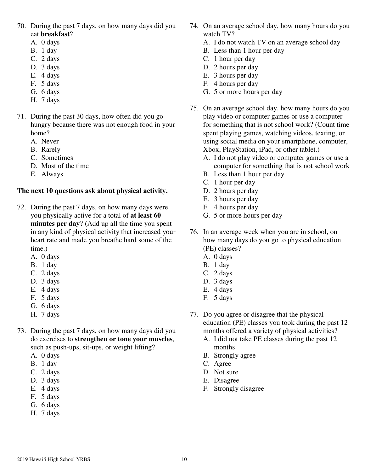- 70. During the past 7 days, on how many days did you eat **breakfast**?
	- A. 0 days
	- B. 1 day
	- C. 2 days
	- D. 3 days
	- E. 4 days
	- F. 5 days
	- G. 6 days
	- H. 7 days
- 71. During the past 30 days, how often did you go hungry because there was not enough food in your home?
	- A. Never
	- B. Rarely
	- C. Sometimes
	- D. Most of the time
	- E. Always

## **The next 10 questions ask about physical activity.**

- 72. During the past 7 days, on how many days were you physically active for a total of **at least 60 minutes per day**? (Add up all the time you spent in any kind of physical activity that increased your heart rate and made you breathe hard some of the time.)
	- A. 0 days
	- B. 1 day
	- C. 2 days
	- D. 3 days
	- E. 4 days
	- F. 5 days
	- G. 6 days
	- H. 7 days
- 73. During the past 7 days, on how many days did you do exercises to **strengthen or tone your muscles**, such as push-ups, sit-ups, or weight lifting?
	- A. 0 days
	- B. 1 day
	- C. 2 days
	- D. 3 days
	- E. 4 days
	- F. 5 days
	- G. 6 days
	- H. 7 days
- 74. On an average school day, how many hours do you watch TV?
	- A. I do not watch TV on an average school day
	- B. Less than 1 hour per day
	- C. 1 hour per day
	- D. 2 hours per day
	- E. 3 hours per day
	- F. 4 hours per day
	- G. 5 or more hours per day
- 75. On an average school day, how many hours do you play video or computer games or use a computer for something that is not school work? (Count time spent playing games, watching videos, texting, or using social media on your smartphone, computer, Xbox, PlayStation, iPad, or other tablet.)
	- A. I do not play video or computer games or use a computer for something that is not school work
	- B. Less than 1 hour per day
	- C. 1 hour per day
	- D. 2 hours per day
	- E. 3 hours per day
	- F. 4 hours per day
	- G. 5 or more hours per day
- 76. In an average week when you are in school, on how many days do you go to physical education (PE) classes?
	- A. 0 days
	- B. 1 day
	- C. 2 days
	- D. 3 days
	- E. 4 days
	- F. 5 days
- 77. Do you agree or disagree that the physical education (PE) classes you took during the past 12 months offered a variety of physical activities?
	- A. I did not take PE classes during the past 12 months
	- B. Strongly agree
	- C. Agree
	- D. Not sure
	- E. Disagree
	- F. Strongly disagree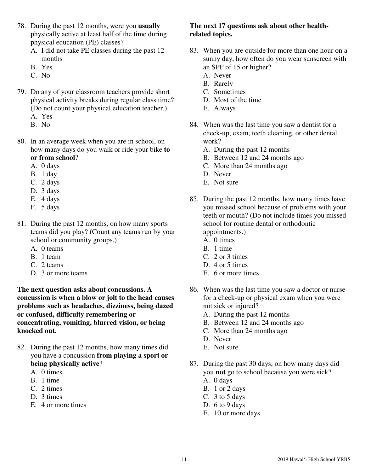- 78. During the past 12 months, were you **usually** physically active at least half of the time during physical education (PE) classes?
	- A. I did not take PE classes during the past 12 months
	- B. Yes
	- C. No
- 79. Do any of your classroom teachers provide short physical activity breaks during regular class time? (Do not count your physical education teacher.) A. Yes
	- B. No
- 80. In an average week when you are in school, on how many days do you walk or ride your bike **to or from school**?
	- A. 0 days
	- B. 1 day
	- C. 2 days
	- D. 3 days
	- E. 4 days
	- F. 5 days
- 81. During the past 12 months, on how many sports teams did you play? (Count any teams run by your school or community groups.)
	- A. 0 teams
	- B. 1 team
	- C. 2 teams
	- D. 3 or more teams

**The next question asks about concussions. A concussion is when a blow or jolt to the head causes problems such as headaches, dizziness, being dazed or confused, difficulty remembering or concentrating, vomiting, blurred vision, or being knocked out.** 

- 82. During the past 12 months, how many times did you have a concussion **from playing a sport or being physically active**?
	- A. 0 times
	- B. 1 time
	- C. 2 times
	- D. 3 times
	- E. 4 or more times

#### **The next 17 questions ask about other healthrelated topics.**

- 83. When you are outside for more than one hour on a sunny day, how often do you wear sunscreen with an SPF of 15 or higher?
	- A. Never
	- B. Rarely
	- C. Sometimes
	- D. Most of the time
	- E. Always
- 84. When was the last time you saw a dentist for a check-up, exam, teeth cleaning, or other dental work?
	- A. During the past 12 months
	- B. Between 12 and 24 months ago
	- C. More than 24 months ago
	- D. Never
	- E. Not sure
- 85. During the past 12 months, how many times have you missed school because of problems with your teeth or mouth? (Do not include times you missed school for routine dental or orthodontic appointments.)
	- A. 0 times
	- B. 1 time
	- C. 2 or 3 times
	- D. 4 or 5 times
	- E. 6 or more times
- 86. When was the last time you saw a doctor or nurse for a check-up or physical exam when you were not sick or injured?
	- A. During the past 12 months
	- B. Between 12 and 24 months ago
	- C. More than 24 months ago
	- D. Never
	- E. Not sure
- 87. During the past 30 days, on how many days did you **not** go to school because you were sick?
	- A. 0 days
	- B. 1 or 2 days
	- C. 3 to 5 days
	- D.  $6$  to  $9$  days
	- E. 10 or more days